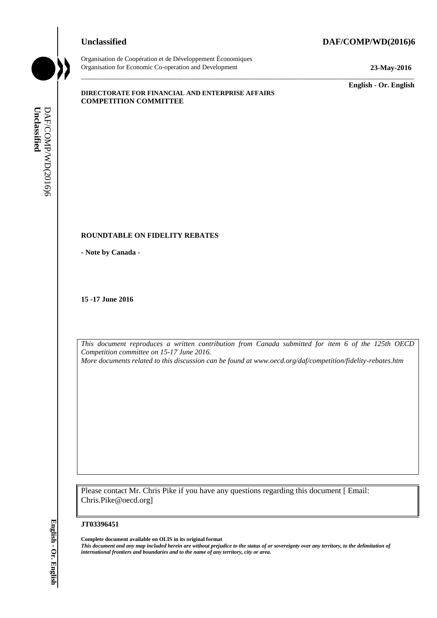# **Unclassified DAF/COMP/WD(2016)6**



Organisation de Coopération et de Développement Économiques Organisation for Economic Co-operation and Development **23-May-2016**

\_\_\_\_\_\_\_\_\_\_\_\_\_ **English - Or. English**

#### **DIRECTORATE FOR FINANCIAL AND ENTERPRISE AFFAIRS COMPETITION COMMITTEE**

## **ROUNDTABLE ON FIDELITY REBATES**

**- Note by Canada -**

**15 -17 June 2016**

*This document reproduces a written contribution from Canada submitted for item 6 of the 125th OECD Competition committee on 15-17 June 2016. More documents related to this discussion can be found at www.oecd.org/daf/competition/fidelity-rebates.htm* **iii** *international international frontiers and boundaries and boundaries and boundaries and boundaries and boundaries and boundaries and boundaries and the name of any territory, city or area.<br> If the name of any term* 

\_\_\_\_\_\_\_\_\_\_\_\_\_\_\_\_\_\_\_\_\_\_\_\_\_\_\_\_\_\_\_\_\_\_\_\_\_\_\_\_\_\_\_\_\_\_\_\_\_\_\_\_\_\_\_\_\_\_\_\_\_\_\_\_\_\_\_\_\_\_\_\_\_\_\_\_\_\_\_\_\_\_\_\_\_\_\_\_\_\_\_

Please contact Mr. Chris Pike if you have any questions regarding this document [ Email: Chris.Pike@oecd.org]

**JT03396451**

**Complete document available on OLIS in its original format** *This document and any map included herein are without prejudice to the status of or sovereignty over any territory, to the delimitation of*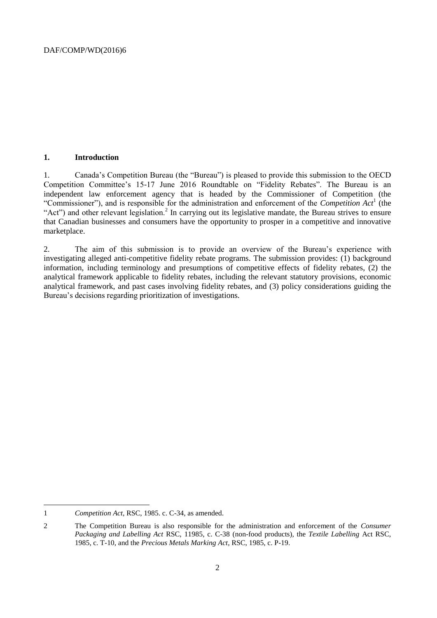# **1. Introduction**

1. Canada's Competition Bureau (the "Bureau") is pleased to provide this submission to the OECD Competition Committee's 15-17 June 2016 Roundtable on "Fidelity Rebates". The Bureau is an independent law enforcement agency that is headed by the Commissioner of Competition (the "Commissioner"), and is responsible for the administration and enforcement of the *Competition Act*<sup>1</sup> (the "Act") and other relevant legislation.<sup>2</sup> In carrying out its legislative mandate, the Bureau strives to ensure that Canadian businesses and consumers have the opportunity to prosper in a competitive and innovative marketplace.

2. The aim of this submission is to provide an overview of the Bureau's experience with investigating alleged anti-competitive fidelity rebate programs. The submission provides: (1) background information, including terminology and presumptions of competitive effects of fidelity rebates, (2) the analytical framework applicable to fidelity rebates, including the relevant statutory provisions, economic analytical framework, and past cases involving fidelity rebates, and (3) policy considerations guiding the Bureau's decisions regarding prioritization of investigations.

 $\overline{a}$ 1 *Competition Act*, RSC, 1985. c. C-34, as amended.

<sup>2</sup> The Competition Bureau is also responsible for the administration and enforcement of the *Consumer Packaging and Labelling Act* RSC, 11985, c. C-38 (non-food products), the *Textile Labelling* Act RSC, 1985, c. T-10, and the *Precious Metals Marking Act*, RSC, 1985, c. P-19.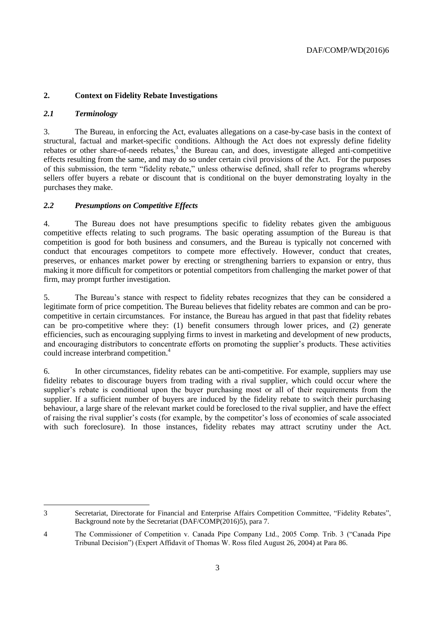# **2. Context on Fidelity Rebate Investigations**

# *2.1 Terminology*

 $\overline{a}$ 

3. The Bureau, in enforcing the Act, evaluates allegations on a case-by-case basis in the context of structural, factual and market-specific conditions. Although the Act does not expressly define fidelity rebates or other share-of-needs rebates,<sup>3</sup> the Bureau can, and does, investigate alleged anti-competitive effects resulting from the same, and may do so under certain civil provisions of the Act. For the purposes of this submission, the term "fidelity rebate," unless otherwise defined, shall refer to programs whereby sellers offer buyers a rebate or discount that is conditional on the buyer demonstrating loyalty in the purchases they make.

# *2.2 Presumptions on Competitive Effects*

4. The Bureau does not have presumptions specific to fidelity rebates given the ambiguous competitive effects relating to such programs. The basic operating assumption of the Bureau is that competition is good for both business and consumers, and the Bureau is typically not concerned with conduct that encourages competitors to compete more effectively. However, conduct that creates, preserves, or enhances market power by erecting or strengthening barriers to expansion or entry, thus making it more difficult for competitors or potential competitors from challenging the market power of that firm, may prompt further investigation.

5. The Bureau's stance with respect to fidelity rebates recognizes that they can be considered a legitimate form of price competition. The Bureau believes that fidelity rebates are common and can be procompetitive in certain circumstances. For instance, the Bureau has argued in that past that fidelity rebates can be pro-competitive where they: (1) benefit consumers through lower prices, and (2) generate efficiencies, such as encouraging supplying firms to invest in marketing and development of new products, and encouraging distributors to concentrate efforts on promoting the supplier's products. These activities could increase interbrand competition.<sup>4</sup>

6. In other circumstances, fidelity rebates can be anti-competitive. For example, suppliers may use fidelity rebates to discourage buyers from trading with a rival supplier, which could occur where the supplier's rebate is conditional upon the buyer purchasing most or all of their requirements from the supplier. If a sufficient number of buyers are induced by the fidelity rebate to switch their purchasing behaviour, a large share of the relevant market could be foreclosed to the rival supplier, and have the effect of raising the rival supplier's costs (for example, by the competitor's loss of economies of scale associated with such foreclosure). In those instances, fidelity rebates may attract scrutiny under the Act.

<sup>3</sup> Secretariat, Directorate for Financial and Enterprise Affairs Competition Committee, "Fidelity Rebates", Background note by the Secretariat (DAF/COMP(2016)5), para 7.

<sup>4</sup> The Commissioner of Competition v. Canada Pipe Company Ltd., 2005 Comp. Trib. 3 ("Canada Pipe Tribunal Decision") (Expert Affidavit of Thomas W. Ross filed August 26, 2004) at Para 86.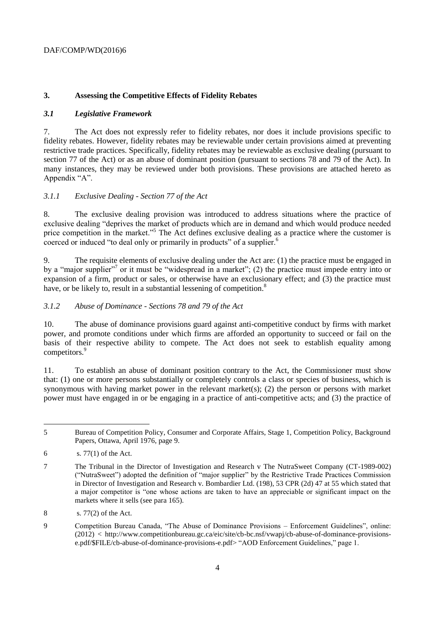# **3. Assessing the Competitive Effects of Fidelity Rebates**

# *3.1 Legislative Framework*

7. The Act does not expressly refer to fidelity rebates, nor does it include provisions specific to fidelity rebates. However, fidelity rebates may be reviewable under certain provisions aimed at preventing restrictive trade practices. Specifically, fidelity rebates may be reviewable as exclusive dealing (pursuant to section 77 of the Act) or as an abuse of dominant position (pursuant to sections 78 and 79 of the Act). In many instances, they may be reviewed under both provisions. These provisions are attached hereto as Appendix "A".

# *3.1.1 Exclusive Dealing - Section 77 of the Act*

8. The exclusive dealing provision was introduced to address situations where the practice of exclusive dealing "deprives the market of products which are in demand and which would produce needed price competition in the market."<sup>5</sup> The Act defines exclusive dealing as a practice where the customer is coerced or induced "to deal only or primarily in products" of a supplier.<sup>6</sup>

9. The requisite elements of exclusive dealing under the Act are: (1) the practice must be engaged in by a "major supplier"<sup>7</sup> or it must be "widespread in a market"; (2) the practice must impede entry into or expansion of a firm, product or sales, or otherwise have an exclusionary effect; and (3) the practice must have, or be likely to, result in a substantial lessening of competition.<sup>8</sup>

# *3.1.2 Abuse of Dominance - Sections 78 and 79 of the Act*

10. The abuse of dominance provisions guard against anti-competitive conduct by firms with market power, and promote conditions under which firms are afforded an opportunity to succeed or fail on the basis of their respective ability to compete. The Act does not seek to establish equality among competitors.<sup>9</sup>

11. To establish an abuse of dominant position contrary to the Act, the Commissioner must show that: (1) one or more persons substantially or completely controls a class or species of business, which is synonymous with having market power in the relevant market(s); (2) the person or persons with market power must have engaged in or be engaging in a practice of anti-competitive acts; and (3) the practice of

<sup>5</sup> Bureau of Competition Policy, Consumer and Corporate Affairs, Stage 1, Competition Policy, Background Papers, Ottawa, April 1976, page 9.

<sup>6</sup> s. 77(1) of the Act.

<sup>7</sup> The Tribunal in the Director of Investigation and Research v The NutraSweet Company (CT-1989-002) ("NutraSweet") adopted the definition of "major supplier" by the Restrictive Trade Practices Commission in Director of Investigation and Research v. Bombardier Ltd. (198), 53 CPR (2d) 47 at 55 which stated that a major competitor is "one whose actions are taken to have an appreciable or significant impact on the markets where it sells (see para 165).

<sup>8</sup> s. 77(2) of the Act.

<sup>9</sup> Competition Bureau Canada, "The Abuse of Dominance Provisions – Enforcement Guidelines", online: (2012) < [http://www.competitionbureau.gc.ca/eic/site/cb-bc.nsf/vwapj/cb-abuse-of-dominance-provisions](http://www.competitionbureau.gc.ca/eic/site/cb-bc.nsf/vwapj/cb-abuse-of-dominance-provisions-e.pdf/$FILE/cb-abuse-of-dominance-provisions-e.pdf)[e.pdf/\\$FILE/cb-abuse-of-dominance-provisions-e.pdf>](http://www.competitionbureau.gc.ca/eic/site/cb-bc.nsf/vwapj/cb-abuse-of-dominance-provisions-e.pdf/$FILE/cb-abuse-of-dominance-provisions-e.pdf) "AOD Enforcement Guidelines," page 1.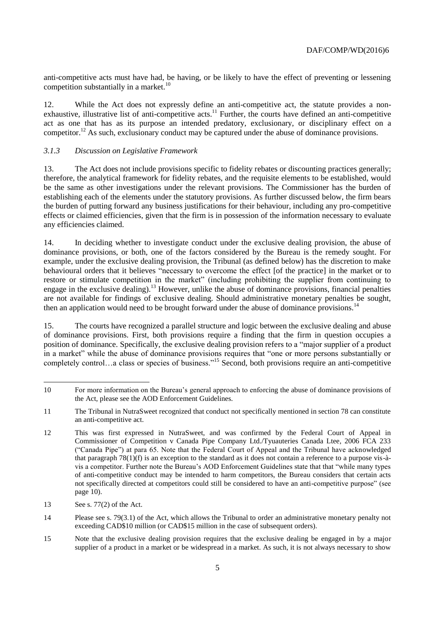anti-competitive acts must have had, be having, or be likely to have the effect of preventing or lessening competition substantially in a market.<sup>10</sup>

12. While the Act does not expressly define an anti-competitive act, the statute provides a nonexhaustive, illustrative list of anti-competitive acts.<sup>11</sup> Further, the courts have defined an anti-competitive act as one that has as its purpose an intended predatory, exclusionary, or disciplinary effect on a competitor.<sup>12</sup> As such, exclusionary conduct may be captured under the abuse of dominance provisions.

## *3.1.3 Discussion on Legislative Framework*

13. The Act does not include provisions specific to fidelity rebates or discounting practices generally; therefore, the analytical framework for fidelity rebates, and the requisite elements to be established, would be the same as other investigations under the relevant provisions. The Commissioner has the burden of establishing each of the elements under the statutory provisions. As further discussed below, the firm bears the burden of putting forward any business justifications for their behaviour, including any pro-competitive effects or claimed efficiencies, given that the firm is in possession of the information necessary to evaluate any efficiencies claimed.

14. In deciding whether to investigate conduct under the exclusive dealing provision, the abuse of dominance provisions, or both, one of the factors considered by the Bureau is the remedy sought. For example, under the exclusive dealing provision, the Tribunal (as defined below) has the discretion to make behavioural orders that it believes "necessary to overcome the effect [of the practice] in the market or to restore or stimulate competition in the market" (including prohibiting the supplier from continuing to engage in the exclusive dealing).<sup>13</sup> However, unlike the abuse of dominance provisions, financial penalties are not available for findings of exclusive dealing. Should administrative monetary penalties be sought, then an application would need to be brought forward under the abuse of dominance provisions.<sup>14</sup>

15. The courts have recognized a parallel structure and logic between the exclusive dealing and abuse of dominance provisions. First, both provisions require a finding that the firm in question occupies a position of dominance. Specifically, the exclusive dealing provision refers to a "major supplier of a product in a market" while the abuse of dominance provisions requires that "one or more persons substantially or completely control…a class or species of business."<sup>15</sup> Second, both provisions require an anti-competitive

l 10 For more information on the Bureau's general approach to enforcing the abuse of dominance provisions of the Act, please see the AOD Enforcement Guidelines.

<sup>11</sup> The Tribunal in NutraSweet recognized that conduct not specifically mentioned in section 78 can constitute an anti-competitive act.

<sup>12</sup> This was first expressed in NutraSweet, and was confirmed by the Federal Court of Appeal in Commissioner of Competition v Canada Pipe Company Ltd./Tyuauteries Canada Ltee, 2006 FCA 233 ("Canada Pipe") at para 65. Note that the Federal Court of Appeal and the Tribunal have acknowledged that paragraph 78(1)(f) is an exception to the standard as it does not contain a reference to a purpose vis-àvis a competitor. Further note the Bureau's AOD Enforcement Guidelines state that that "while many types of anti-competitive conduct may be intended to harm competitors, the Bureau considers that certain acts not specifically directed at competitors could still be considered to have an anti-competitive purpose" (see page 10).

<sup>13</sup> See s. 77(2) of the Act.

<sup>14</sup> Please see s. 79(3.1) of the Act, which allows the Tribunal to order an administrative monetary penalty not exceeding CAD\$10 million (or CAD\$15 million in the case of subsequent orders).

<sup>15</sup> Note that the exclusive dealing provision requires that the exclusive dealing be engaged in by a major supplier of a product in a market or be widespread in a market. As such, it is not always necessary to show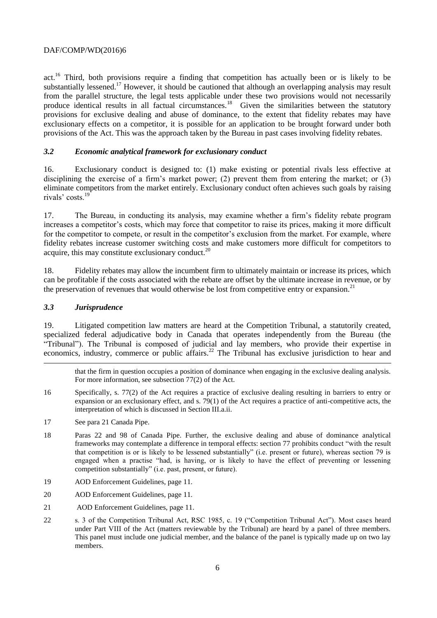act.<sup>16</sup> Third, both provisions require a finding that competition has actually been or is likely to be substantially lessened.<sup>17</sup> However, it should be cautioned that although an overlapping analysis may result from the parallel structure, the legal tests applicable under these two provisions would not necessarily produce identical results in all factual circumstances.<sup>18</sup> Given the similarities between the statutory provisions for exclusive dealing and abuse of dominance, to the extent that fidelity rebates may have exclusionary effects on a competitor, it is possible for an application to be brought forward under both provisions of the Act. This was the approach taken by the Bureau in past cases involving fidelity rebates.

## *3.2 Economic analytical framework for exclusionary conduct*

16. Exclusionary conduct is designed to: (1) make existing or potential rivals less effective at disciplining the exercise of a firm's market power; (2) prevent them from entering the market; or (3) eliminate competitors from the market entirely. Exclusionary conduct often achieves such goals by raising rivals' costs.<sup>19</sup>

17. The Bureau, in conducting its analysis, may examine whether a firm's fidelity rebate program increases a competitor's costs, which may force that competitor to raise its prices, making it more difficult for the competitor to compete, or result in the competitor's exclusion from the market. For example, where fidelity rebates increase customer switching costs and make customers more difficult for competitors to acquire, this may constitute exclusionary conduct. $20$ 

18. Fidelity rebates may allow the incumbent firm to ultimately maintain or increase its prices, which can be profitable if the costs associated with the rebate are offset by the ultimate increase in revenue, or by the preservation of revenues that would otherwise be lost from competitive entry or expansion.<sup>21</sup>

# *3.3 Jurisprudence*

l

19. Litigated competition law matters are heard at the Competition Tribunal, a statutorily created, specialized federal adjudicative body in Canada that operates independently from the Bureau (the "Tribunal"). The Tribunal is composed of judicial and lay members, who provide their expertise in economics, industry, commerce or public affairs.<sup>22</sup> The Tribunal has exclusive jurisdiction to hear and

that the firm in question occupies a position of dominance when engaging in the exclusive dealing analysis. For more information, see subsection 77(2) of the Act.

- 16 Specifically, s. 77(2) of the Act requires a practice of exclusive dealing resulting in barriers to entry or expansion or an exclusionary effect, and s. 79(1) of the Act requires a practice of anti-competitive acts, the interpretation of which is discussed in Section III.a.ii.
- 17 See para 21 Canada Pipe.
- 18 Paras 22 and 98 of Canada Pipe. Further, the exclusive dealing and abuse of dominance analytical frameworks may contemplate a difference in temporal effects: section 77 prohibits conduct "with the result that competition is or is likely to be lessened substantially" (i.e. present or future), whereas section 79 is engaged when a practise "had, is having, or is likely to have the effect of preventing or lessening competition substantially" (i.e. past, present, or future).
- 19 AOD Enforcement Guidelines, page 11.
- 20 AOD Enforcement Guidelines, page 11.
- 21 AOD Enforcement Guidelines, page 11.
- 22 s. 3 of the Competition Tribunal Act, RSC 1985, c. 19 ("Competition Tribunal Act"). Most cases heard under Part VIII of the Act (matters reviewable by the Tribunal) are heard by a panel of three members. This panel must include one judicial member, and the balance of the panel is typically made up on two lay members.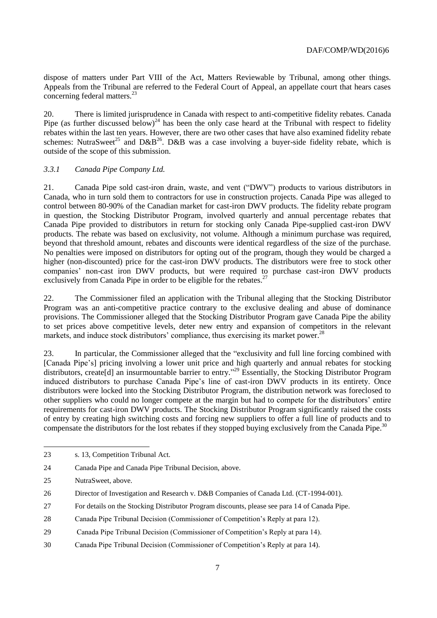dispose of matters under Part VIII of the Act, Matters Reviewable by Tribunal, among other things. Appeals from the Tribunal are referred to the Federal Court of Appeal, an appellate court that hears cases concerning federal matters.<sup>23</sup>

20. There is limited jurisprudence in Canada with respect to anti-competitive fidelity rebates. Canada Pipe (as further discussed below)<sup>24</sup> has been the only case heard at the Tribunal with respect to fidelity rebates within the last ten years. However, there are two other cases that have also examined fidelity rebate schemes: NutraSweet<sup>25</sup> and D&B<sup>26</sup>. D&B was a case involving a buyer-side fidelity rebate, which is outside of the scope of this submission.

## *3.3.1 Canada Pipe Company Ltd.*

21. Canada Pipe sold cast-iron drain, waste, and vent ("DWV") products to various distributors in Canada, who in turn sold them to contractors for use in construction projects. Canada Pipe was alleged to control between 80-90% of the Canadian market for cast-iron DWV products. The fidelity rebate program in question, the Stocking Distributor Program, involved quarterly and annual percentage rebates that Canada Pipe provided to distributors in return for stocking only Canada Pipe-supplied cast-iron DWV products. The rebate was based on exclusivity, not volume. Although a minimum purchase was required, beyond that threshold amount, rebates and discounts were identical regardless of the size of the purchase. No penalties were imposed on distributors for opting out of the program, though they would be charged a higher (non-discounted) price for the cast-iron DWV products. The distributors were free to stock other companies' non-cast iron DWV products, but were required to purchase cast-iron DWV products exclusively from Canada Pipe in order to be eligible for the rebates.<sup>27</sup>

22. The Commissioner filed an application with the Tribunal alleging that the Stocking Distributor Program was an anti-competitive practice contrary to the exclusive dealing and abuse of dominance provisions. The Commissioner alleged that the Stocking Distributor Program gave Canada Pipe the ability to set prices above competitive levels, deter new entry and expansion of competitors in the relevant markets, and induce stock distributors' compliance, thus exercising its market power.<sup>28</sup>

23. In particular, the Commissioner alleged that the "exclusivity and full line forcing combined with [Canada Pipe's] pricing involving a lower unit price and high quarterly and annual rebates for stocking distributors, create[d] an insurmountable barrier to entry."<sup>29</sup> Essentially, the Stocking Distributor Program induced distributors to purchase Canada Pipe's line of cast-iron DWV products in its entirety. Once distributors were locked into the Stocking Distributor Program, the distribution network was foreclosed to other suppliers who could no longer compete at the margin but had to compete for the distributors' entire requirements for cast-iron DWV products. The Stocking Distributor Program significantly raised the costs of entry by creating high switching costs and forcing new suppliers to offer a full line of products and to compensate the distributors for the lost rebates if they stopped buying exclusively from the Canada Pipe.<sup>30</sup>

<sup>23</sup> s. 13, Competition Tribunal Act.

<sup>24</sup> Canada Pipe and Canada Pipe Tribunal Decision, above.

<sup>25</sup> NutraSweet, above.

<sup>26</sup> Director of Investigation and Research v. D&B Companies of Canada Ltd. (CT-1994-001).

<sup>27</sup> For details on the Stocking Distributor Program discounts, please see para 14 of Canada Pipe.

<sup>28</sup> Canada Pipe Tribunal Decision (Commissioner of Competition's Reply at para 12).

<sup>29</sup> Canada Pipe Tribunal Decision (Commissioner of Competition's Reply at para 14).

<sup>30</sup> Canada Pipe Tribunal Decision (Commissioner of Competition's Reply at para 14).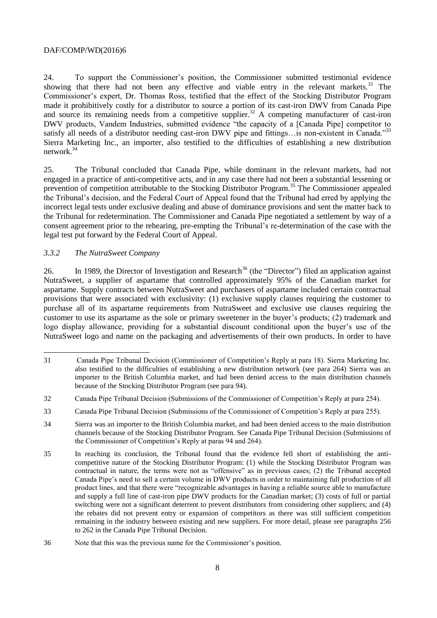24. To support the Commissioner's position, the Commissioner submitted testimonial evidence showing that there had not been any effective and viable entry in the relevant markets.<sup>31</sup> The Commissioner's expert, Dr. Thomas Ross, testified that the effect of the Stocking Distributor Program made it prohibitively costly for a distributor to source a portion of its cast-iron DWV from Canada Pipe and source its remaining needs from a competitive supplier.<sup>32</sup> A competing manufacturer of cast-iron DWV products, Vandem Industries, submitted evidence "the capacity of a [Canada Pipe] competitor to satisfy all needs of a distributor needing cast-iron DWV pipe and fittings... is non-existent in Canada."<sup>33</sup> Sierra Marketing Inc., an importer, also testified to the difficulties of establishing a new distribution network.<sup>34</sup>

25. The Tribunal concluded that Canada Pipe, while dominant in the relevant markets, had not engaged in a practice of anti-competitive acts, and in any case there had not been a substantial lessening or prevention of competition attributable to the Stocking Distributor Program.<sup>35</sup> The Commissioner appealed the Tribunal's decision, and the Federal Court of Appeal found that the Tribunal had erred by applying the incorrect legal tests under exclusive dealing and abuse of dominance provisions and sent the matter back to the Tribunal for redetermination. The Commissioner and Canada Pipe negotiated a settlement by way of a consent agreement prior to the rehearing, pre-empting the Tribunal's re-determination of the case with the legal test put forward by the Federal Court of Appeal.

## *3.3.2 The NutraSweet Company*

l

26. In 1989, the Director of Investigation and Research<sup>36</sup> (the "Director") filed an application against NutraSweet, a supplier of aspartame that controlled approximately 95% of the Canadian market for aspartame. Supply contracts between NutraSweet and purchasers of aspartame included certain contractual provisions that were associated with exclusivity: (1) exclusive supply clauses requiring the customer to purchase all of its aspartame requirements from NutraSweet and exclusive use clauses requiring the customer to use its aspartame as the sole or primary sweetener in the buyer's products; (2) trademark and logo display allowance, providing for a substantial discount conditional upon the buyer's use of the NutraSweet logo and name on the packaging and advertisements of their own products. In order to have

<sup>31</sup> Canada Pipe Tribunal Decision (Commissioner of Competition's Reply at para 18). Sierra Marketing Inc. also testified to the difficulties of establishing a new distribution network (see para 264) Sierra was an importer to the British Columbia market, and had been denied access to the main distribution channels because of the Stocking Distributor Program (see para 94).

<sup>32</sup> Canada Pipe Tribunal Decision (Submissions of the Commissioner of Competition's Reply at para 254).

<sup>33</sup> Canada Pipe Tribunal Decision (Submissions of the Commissioner of Competition's Reply at para 255).

<sup>34</sup> Sierra was an importer to the British Columbia market, and had been denied access to the main distribution channels because of the Stocking Distributor Program. See Canada Pipe Tribunal Decision (Submissions of the Commissioner of Competition's Reply at paras 94 and 264).

<sup>35</sup> In reaching its conclusion, the Tribunal found that the evidence fell short of establishing the anticompetitive nature of the Stocking Distributor Program: (1) while the Stocking Distributor Program was contractual in nature, the terms were not as "offensive" as in previous cases; (2) the Tribunal accepted Canada Pipe's need to sell a certain volume in DWV products in order to maintaining full production of all product lines, and that there were "recognizable advantages in having a reliable source able to manufacture and supply a full line of cast-iron pipe DWV products for the Canadian market; (3) costs of full or partial switching were not a significant deterrent to prevent distributors from considering other suppliers; and (4) the rebates did not prevent entry or expansion of competitors as there was still sufficient competition remaining in the industry between existing and new suppliers. For more detail, please see paragraphs 256 to 262 in the Canada Pipe Tribunal Decision.

<sup>36</sup> Note that this was the previous name for the Commissioner's position.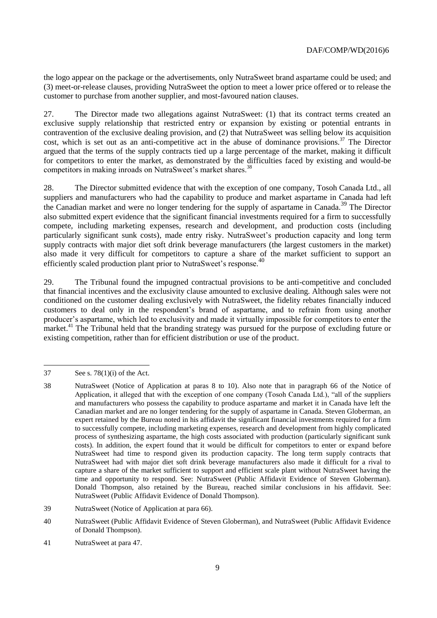the logo appear on the package or the advertisements, only NutraSweet brand aspartame could be used; and (3) meet-or-release clauses, providing NutraSweet the option to meet a lower price offered or to release the customer to purchase from another supplier, and most-favoured nation clauses.

27. The Director made two allegations against NutraSweet: (1) that its contract terms created an exclusive supply relationship that restricted entry or expansion by existing or potential entrants in contravention of the exclusive dealing provision, and (2) that NutraSweet was selling below its acquisition cost, which is set out as an anti-competitive act in the abuse of dominance provisions.<sup>37</sup> The Director argued that the terms of the supply contracts tied up a large percentage of the market, making it difficult for competitors to enter the market, as demonstrated by the difficulties faced by existing and would-be competitors in making inroads on NutraSweet's market shares.<sup>38</sup>

28. The Director submitted evidence that with the exception of one company, Tosoh Canada Ltd., all suppliers and manufacturers who had the capability to produce and market aspartame in Canada had left the Canadian market and were no longer tendering for the supply of aspartame in Canada.<sup>39</sup> The Director also submitted expert evidence that the significant financial investments required for a firm to successfully compete, including marketing expenses, research and development, and production costs (including particularly significant sunk costs), made entry risky. NutraSweet's production capacity and long term supply contracts with major diet soft drink beverage manufacturers (the largest customers in the market) also made it very difficult for competitors to capture a share of the market sufficient to support an efficiently scaled production plant prior to NutraSweet's response.<sup>40</sup>

29. The Tribunal found the impugned contractual provisions to be anti-competitive and concluded that financial incentives and the exclusivity clause amounted to exclusive dealing. Although sales were not conditioned on the customer dealing exclusively with NutraSweet, the fidelity rebates financially induced customers to deal only in the respondent's brand of aspartame, and to refrain from using another producer's aspartame, which led to exclusivity and made it virtually impossible for competitors to enter the market.<sup>41</sup> The Tribunal held that the branding strategy was pursued for the purpose of excluding future or existing competition, rather than for efficient distribution or use of the product.

<sup>37</sup> See s. 78(1)(i) of the Act.

<sup>38</sup> NutraSweet (Notice of Application at paras 8 to 10). Also note that in paragraph 66 of the Notice of Application, it alleged that with the exception of one company (Tosoh Canada Ltd.), "all of the suppliers and manufacturers who possess the capability to produce aspartame and market it in Canada have left the Canadian market and are no longer tendering for the supply of aspartame in Canada. Steven Globerman, an expert retained by the Bureau noted in his affidavit the significant financial investments required for a firm to successfully compete, including marketing expenses, research and development from highly complicated process of synthesizing aspartame, the high costs associated with production (particularly significant sunk costs). In addition, the expert found that it would be difficult for competitors to enter or expand before NutraSweet had time to respond given its production capacity. The long term supply contracts that NutraSweet had with major diet soft drink beverage manufacturers also made it difficult for a rival to capture a share of the market sufficient to support and efficient scale plant without NutraSweet having the time and opportunity to respond. See: NutraSweet (Public Affidavit Evidence of Steven Globerman). Donald Thompson, also retained by the Bureau, reached similar conclusions in his affidavit. See: NutraSweet (Public Affidavit Evidence of Donald Thompson).

<sup>39</sup> NutraSweet (Notice of Application at para 66).

<sup>40</sup> NutraSweet (Public Affidavit Evidence of Steven Globerman), and NutraSweet (Public Affidavit Evidence of Donald Thompson).

<sup>41</sup> NutraSweet at para 47.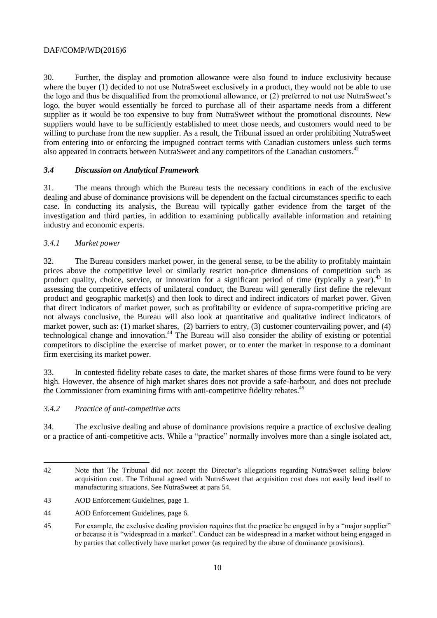30. Further, the display and promotion allowance were also found to induce exclusivity because where the buyer (1) decided to not use NutraSweet exclusively in a product, they would not be able to use the logo and thus be disqualified from the promotional allowance, or (2) preferred to not use NutraSweet's logo, the buyer would essentially be forced to purchase all of their aspartame needs from a different supplier as it would be too expensive to buy from NutraSweet without the promotional discounts. New suppliers would have to be sufficiently established to meet those needs, and customers would need to be willing to purchase from the new supplier. As a result, the Tribunal issued an order prohibiting NutraSweet from entering into or enforcing the impugned contract terms with Canadian customers unless such terms also appeared in contracts between NutraSweet and any competitors of the Canadian customers.<sup>42</sup>

## *3.4 Discussion on Analytical Framework*

31. The means through which the Bureau tests the necessary conditions in each of the exclusive dealing and abuse of dominance provisions will be dependent on the factual circumstances specific to each case. In conducting its analysis, the Bureau will typically gather evidence from the target of the investigation and third parties, in addition to examining publically available information and retaining industry and economic experts.

# *3.4.1 Market power*

32. The Bureau considers market power, in the general sense, to be the ability to profitably maintain prices above the competitive level or similarly restrict non-price dimensions of competition such as product quality, choice, service, or innovation for a significant period of time (typically a year).<sup>43</sup> In assessing the competitive effects of unilateral conduct, the Bureau will generally first define the relevant product and geographic market(s) and then look to direct and indirect indicators of market power. Given that direct indicators of market power, such as profitability or evidence of supra-competitive pricing are not always conclusive, the Bureau will also look at quantitative and qualitative indirect indicators of market power, such as: (1) market shares, (2) barriers to entry, (3) customer countervailing power, and (4) technological change and innovation.<sup>44</sup> The Bureau will also consider the ability of existing or potential competitors to discipline the exercise of market power, or to enter the market in response to a dominant firm exercising its market power.

33. In contested fidelity rebate cases to date, the market shares of those firms were found to be very high. However, the absence of high market shares does not provide a safe-harbour, and does not preclude the Commissioner from examining firms with anti-competitive fidelity rebates.<sup>45</sup>

## *3.4.2 Practice of anti-competitive acts*

34. The exclusive dealing and abuse of dominance provisions require a practice of exclusive dealing or a practice of anti-competitive acts. While a "practice" normally involves more than a single isolated act,

l 42 Note that The Tribunal did not accept the Director's allegations regarding NutraSweet selling below acquisition cost. The Tribunal agreed with NutraSweet that acquisition cost does not easily lend itself to manufacturing situations. See NutraSweet at para 54.

<sup>43</sup> AOD Enforcement Guidelines, page 1.

<sup>44</sup> AOD Enforcement Guidelines, page 6.

<sup>45</sup> For example, the exclusive dealing provision requires that the practice be engaged in by a "major supplier" or because it is "widespread in a market". Conduct can be widespread in a market without being engaged in by parties that collectively have market power (as required by the abuse of dominance provisions).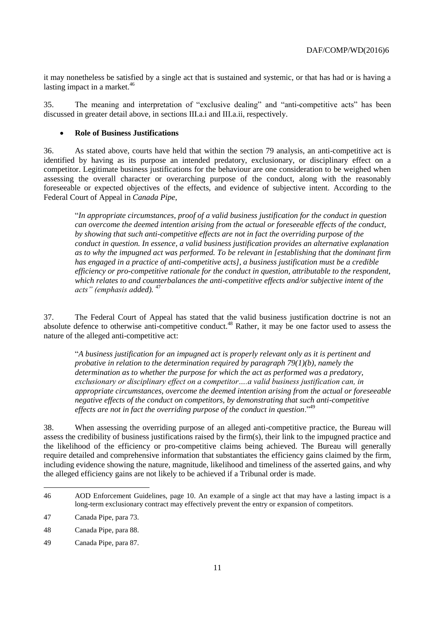it may nonetheless be satisfied by a single act that is sustained and systemic, or that has had or is having a lasting impact in a market. $46$ 

35. The meaning and interpretation of "exclusive dealing" and "anti-competitive acts" has been discussed in greater detail above, in sections III.a.i and III.a.ii, respectively.

## **Role of Business Justifications**

36. As stated above, courts have held that within the section 79 analysis, an anti-competitive act is identified by having as its purpose an intended predatory, exclusionary, or disciplinary effect on a competitor. Legitimate business justifications for the behaviour are one consideration to be weighed when assessing the overall character or overarching purpose of the conduct, along with the reasonably foreseeable or expected objectives of the effects, and evidence of subjective intent. According to the Federal Court of Appeal in *Canada Pipe*,

"*In appropriate circumstances, proof of a valid business justification for the conduct in question can overcome the deemed intention arising from the actual or foreseeable effects of the conduct, by showing that such anti-competitive effects are not in fact the overriding purpose of the conduct in question. In essence, a valid business justification provides an alternative explanation as to why the impugned act was performed. To be relevant in [establishing that the dominant firm has engaged in a practice of anti-competitive acts], a business justification must be a credible efficiency or pro-competitive rationale for the conduct in question, attributable to the respondent, which relates to and counterbalances the anti-competitive effects and/or subjective intent of the acts" (emphasis added).* <sup>47</sup>

37. The Federal Court of Appeal has stated that the valid business justification doctrine is not an absolute defence to otherwise anti-competitive conduct.<sup>48</sup> Rather, it may be one factor used to assess the nature of the alleged anti-competitive act:

"*A business justification for an impugned act is properly relevant only as it is pertinent and probative in relation to the determination required by paragraph 79(1)(b), namely the determination as to whether the purpose for which the act as performed was a predatory, exclusionary or disciplinary effect on a competitor….a valid business justification can, in appropriate circumstances, overcome the deemed intention arising from the actual or foreseeable negative effects of the conduct on competitors, by demonstrating that such anti-competitive effects are not in fact the overriding purpose of the conduct in question*."<sup>49</sup>

38. When assessing the overriding purpose of an alleged anti-competitive practice, the Bureau will assess the credibility of business justifications raised by the firm(s), their link to the impugned practice and the likelihood of the efficiency or pro-competitive claims being achieved. The Bureau will generally require detailed and comprehensive information that substantiates the efficiency gains claimed by the firm, including evidence showing the nature, magnitude, likelihood and timeliness of the asserted gains, and why the alleged efficiency gains are not likely to be achieved if a Tribunal order is made.

<sup>46</sup> AOD Enforcement Guidelines, page 10. An example of a single act that may have a lasting impact is a long-term exclusionary contract may effectively prevent the entry or expansion of competitors.

<sup>47</sup> Canada Pipe, para 73.

<sup>48</sup> Canada Pipe, para 88.

<sup>49</sup> Canada Pipe, para 87.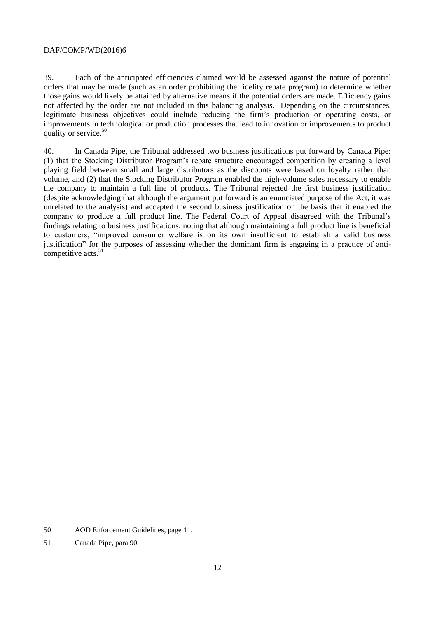39. Each of the anticipated efficiencies claimed would be assessed against the nature of potential orders that may be made (such as an order prohibiting the fidelity rebate program) to determine whether those gains would likely be attained by alternative means if the potential orders are made. Efficiency gains not affected by the order are not included in this balancing analysis. Depending on the circumstances, legitimate business objectives could include reducing the firm's production or operating costs, or improvements in technological or production processes that lead to innovation or improvements to product quality or service. $50$ 

40. In Canada Pipe, the Tribunal addressed two business justifications put forward by Canada Pipe: (1) that the Stocking Distributor Program's rebate structure encouraged competition by creating a level playing field between small and large distributors as the discounts were based on loyalty rather than volume, and (2) that the Stocking Distributor Program enabled the high-volume sales necessary to enable the company to maintain a full line of products. The Tribunal rejected the first business justification (despite acknowledging that although the argument put forward is an enunciated purpose of the Act, it was unrelated to the analysis) and accepted the second business justification on the basis that it enabled the company to produce a full product line. The Federal Court of Appeal disagreed with the Tribunal's findings relating to business justifications, noting that although maintaining a full product line is beneficial to customers, "improved consumer welfare is on its own insufficient to establish a valid business justification" for the purposes of assessing whether the dominant firm is engaging in a practice of anticompetitive acts. $51$ 

l 50 AOD Enforcement Guidelines, page 11.

<sup>51</sup> Canada Pipe, para 90.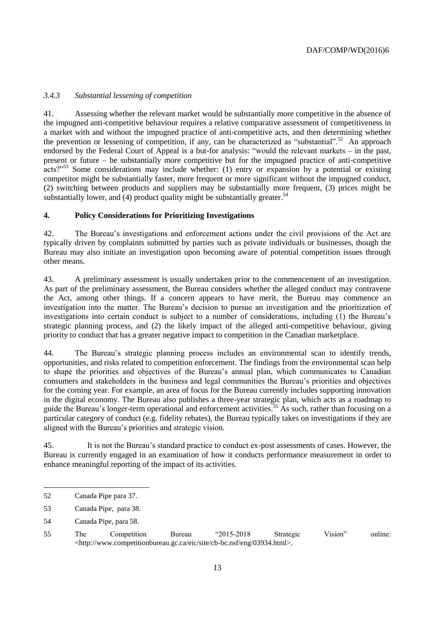# *3.4.3 Substantial lessening of competition*

41. Assessing whether the relevant market would be substantially more competitive in the absence of the impugned anti-competitive behaviour requires a relative comparative assessment of competitiveness in a market with and without the impugned practice of anti-competitive acts, and then determining whether the prevention or lessening of competition, if any, can be characterized as "substantial".<sup>52</sup> An approach endorsed by the Federal Court of Appeal is a but-for analysis: "would the relevant markets – in the past, present or future – be substantially more competitive but for the impugned practice of anti-competitive acts?"<sup>53</sup> Some considerations may include whether: (1) entry or expansion by a potential or existing competitor might be substantially faster, more frequent or more significant without the impugned conduct, (2) switching between products and suppliers may be substantially more frequent, (3) prices might be substantially lower, and  $(4)$  product quality might be substantially greater.<sup>54</sup>

# **4. Policy Considerations for Prioritizing Investigations**

42. The Bureau's investigations and enforcement actions under the civil provisions of the Act are typically driven by complaints submitted by parties such as private individuals or businesses, though the Bureau may also initiate an investigation upon becoming aware of potential competition issues through other means.

43. A preliminary assessment is usually undertaken prior to the commencement of an investigation. As part of the preliminary assessment, the Bureau considers whether the alleged conduct may contravene the Act, among other things. If a concern appears to have merit, the Bureau may commence an investigation into the matter. The Bureau's decision to pursue an investigation and the prioritization of investigations into certain conduct is subject to a number of considerations, including (1) the Bureau's strategic planning process, and (2) the likely impact of the alleged anti-competitive behaviour, giving priority to conduct that has a greater negative impact to competition in the Canadian marketplace.

44. The Bureau's strategic planning process includes an environmental scan to identify trends, opportunities, and risks related to competition enforcement. The findings from the environmental scan help to shape the priorities and objectives of the Bureau's annual plan, which communicates to Canadian consumers and stakeholders in the business and legal communities the Bureau's priorities and objectives for the coming year. For example, an area of focus for the Bureau currently includes supporting innovation in the digital economy. The Bureau also publishes a three-year strategic plan, which acts as a roadmap to guide the Bureau's longer-term operational and enforcement activities.<sup>55</sup> As such, rather than focusing on a particular category of conduct (e.g. fidelity rebates), the Bureau typically takes on investigations if they are aligned with the Bureau's priorities and strategic vision.

45. It is not the Bureau's standard practice to conduct ex-post assessments of cases. However, the Bureau is currently engaged in an examination of how it conducts performance measurement in order to enhance meaningful reporting of the impact of its activities.

<sup>52</sup> Canada Pipe para 37.

<sup>53</sup> Canada Pipe, para 38.

<sup>54</sup> Canada Pipe, para 58.

<sup>55</sup> The Competition Bureau "2015-2018 Strategic Vision" online: [<http://www.competitionbureau.gc.ca/eic/site/cb-bc.nsf/eng/03934.html>](http://www.competitionbureau.gc.ca/eic/site/cb-bc.nsf/eng/03934.html).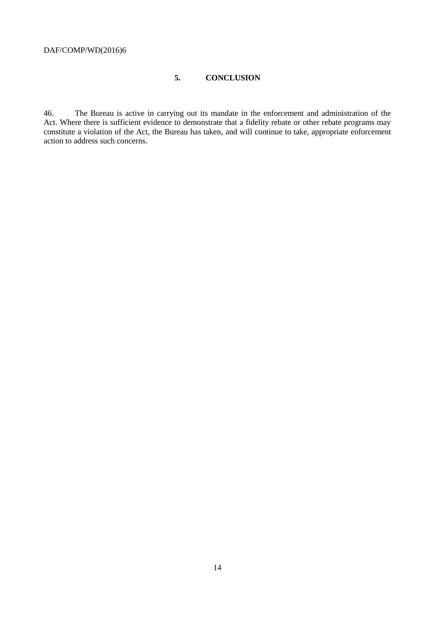# **5. CONCLUSION**

46. The Bureau is active in carrying out its mandate in the enforcement and administration of the Act. Where there is sufficient evidence to demonstrate that a fidelity rebate or other rebate programs may constitute a violation of the Act, the Bureau has taken, and will continue to take, appropriate enforcement action to address such concerns.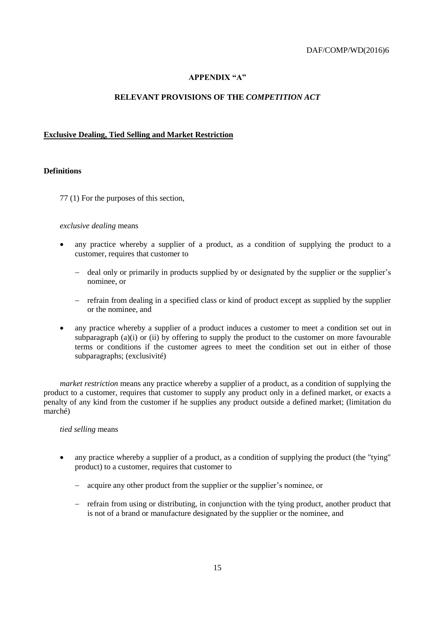# **APPENDIX "A"**

## **RELEVANT PROVISIONS OF THE** *COMPETITION ACT*

## **Exclusive Dealing, Tied Selling and Market Restriction**

#### **Definitions**

77 (1) For the purposes of this section,

#### *exclusive dealing* means

- any practice whereby a supplier of a product, as a condition of supplying the product to a customer, requires that customer to
	- deal only or primarily in products supplied by or designated by the supplier or the supplier's nominee, or
	- refrain from dealing in a specified class or kind of product except as supplied by the supplier or the nominee, and
- any practice whereby a supplier of a product induces a customer to meet a condition set out in subparagraph (a)(i) or (ii) by offering to supply the product to the customer on more favourable terms or conditions if the customer agrees to meet the condition set out in either of those subparagraphs; (exclusivité)

*market restriction* means any practice whereby a supplier of a product, as a condition of supplying the product to a customer, requires that customer to supply any product only in a defined market, or exacts a penalty of any kind from the customer if he supplies any product outside a defined market; (limitation du marché)

#### *tied selling* means

- any practice whereby a supplier of a product, as a condition of supplying the product (the "tying" product) to a customer, requires that customer to
	- acquire any other product from the supplier or the supplier's nominee, or
	- refrain from using or distributing, in conjunction with the tying product, another product that is not of a brand or manufacture designated by the supplier or the nominee, and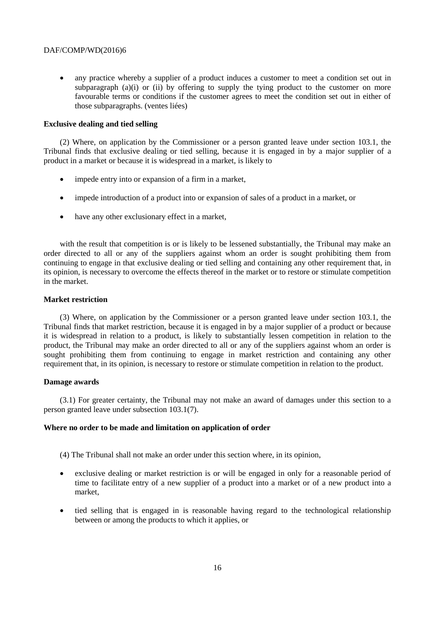any practice whereby a supplier of a product induces a customer to meet a condition set out in subparagraph  $(a)(i)$  or  $(ii)$  by offering to supply the tying product to the customer on more favourable terms or conditions if the customer agrees to meet the condition set out in either of those subparagraphs. (ventes liées)

#### **Exclusive dealing and tied selling**

(2) Where, on application by the Commissioner or a person granted leave under section 103.1, the Tribunal finds that exclusive dealing or tied selling, because it is engaged in by a major supplier of a product in a market or because it is widespread in a market, is likely to

- impede entry into or expansion of a firm in a market,
- impede introduction of a product into or expansion of sales of a product in a market, or
- have any other exclusionary effect in a market,

with the result that competition is or is likely to be lessened substantially, the Tribunal may make an order directed to all or any of the suppliers against whom an order is sought prohibiting them from continuing to engage in that exclusive dealing or tied selling and containing any other requirement that, in its opinion, is necessary to overcome the effects thereof in the market or to restore or stimulate competition in the market.

#### **Market restriction**

(3) Where, on application by the Commissioner or a person granted leave under section 103.1, the Tribunal finds that market restriction, because it is engaged in by a major supplier of a product or because it is widespread in relation to a product, is likely to substantially lessen competition in relation to the product, the Tribunal may make an order directed to all or any of the suppliers against whom an order is sought prohibiting them from continuing to engage in market restriction and containing any other requirement that, in its opinion, is necessary to restore or stimulate competition in relation to the product.

## **Damage awards**

(3.1) For greater certainty, the Tribunal may not make an award of damages under this section to a person granted leave under subsection 103.1(7).

#### **Where no order to be made and limitation on application of order**

(4) The Tribunal shall not make an order under this section where, in its opinion,

- exclusive dealing or market restriction is or will be engaged in only for a reasonable period of time to facilitate entry of a new supplier of a product into a market or of a new product into a market,
- tied selling that is engaged in is reasonable having regard to the technological relationship between or among the products to which it applies, or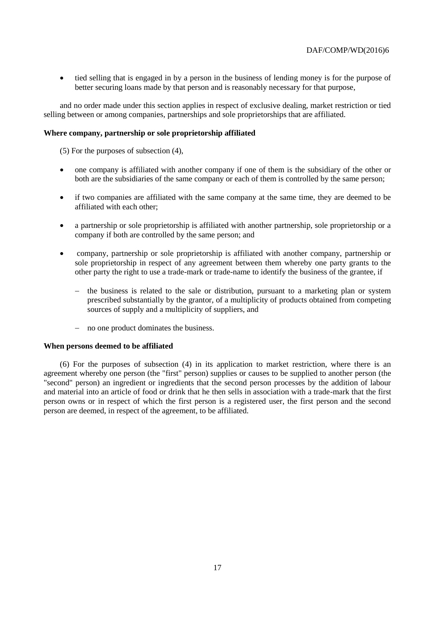• tied selling that is engaged in by a person in the business of lending money is for the purpose of better securing loans made by that person and is reasonably necessary for that purpose,

and no order made under this section applies in respect of exclusive dealing, market restriction or tied selling between or among companies, partnerships and sole proprietorships that are affiliated.

#### **Where company, partnership or sole proprietorship affiliated**

(5) For the purposes of subsection (4),

- one company is affiliated with another company if one of them is the subsidiary of the other or both are the subsidiaries of the same company or each of them is controlled by the same person;
- if two companies are affiliated with the same company at the same time, they are deemed to be affiliated with each other;
- a partnership or sole proprietorship is affiliated with another partnership, sole proprietorship or a company if both are controlled by the same person; and
- company, partnership or sole proprietorship is affiliated with another company, partnership or sole proprietorship in respect of any agreement between them whereby one party grants to the other party the right to use a trade-mark or trade-name to identify the business of the grantee, if
	- $-$  the business is related to the sale or distribution, pursuant to a marketing plan or system prescribed substantially by the grantor, of a multiplicity of products obtained from competing sources of supply and a multiplicity of suppliers, and
	- no one product dominates the business.

#### **When persons deemed to be affiliated**

(6) For the purposes of subsection (4) in its application to market restriction, where there is an agreement whereby one person (the "first" person) supplies or causes to be supplied to another person (the "second" person) an ingredient or ingredients that the second person processes by the addition of labour and material into an article of food or drink that he then sells in association with a trade-mark that the first person owns or in respect of which the first person is a registered user, the first person and the second person are deemed, in respect of the agreement, to be affiliated.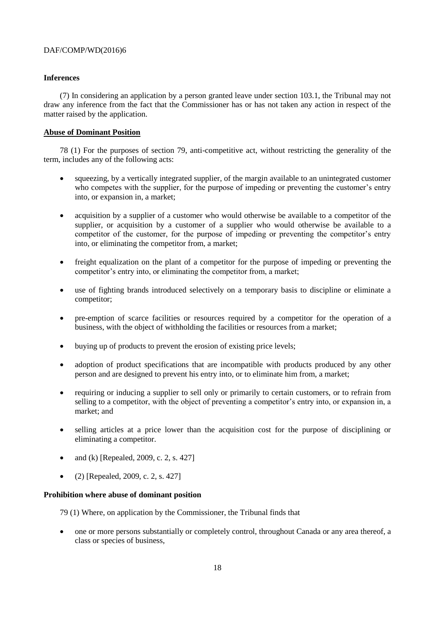## **Inferences**

(7) In considering an application by a person granted leave under section 103.1, the Tribunal may not draw any inference from the fact that the Commissioner has or has not taken any action in respect of the matter raised by the application.

## **Abuse of Dominant Position**

78 (1) For the purposes of section 79, anti-competitive act, without restricting the generality of the term, includes any of the following acts:

- squeezing, by a vertically integrated supplier, of the margin available to an unintegrated customer who competes with the supplier, for the purpose of impeding or preventing the customer's entry into, or expansion in, a market;
- acquisition by a supplier of a customer who would otherwise be available to a competitor of the supplier, or acquisition by a customer of a supplier who would otherwise be available to a competitor of the customer, for the purpose of impeding or preventing the competitor's entry into, or eliminating the competitor from, a market;
- freight equalization on the plant of a competitor for the purpose of impeding or preventing the competitor's entry into, or eliminating the competitor from, a market;
- use of fighting brands introduced selectively on a temporary basis to discipline or eliminate a competitor;
- pre-emption of scarce facilities or resources required by a competitor for the operation of a business, with the object of withholding the facilities or resources from a market;
- buying up of products to prevent the erosion of existing price levels;
- adoption of product specifications that are incompatible with products produced by any other person and are designed to prevent his entry into, or to eliminate him from, a market;
- requiring or inducing a supplier to sell only or primarily to certain customers, or to refrain from selling to a competitor, with the object of preventing a competitor's entry into, or expansion in, a market; and
- selling articles at a price lower than the acquisition cost for the purpose of disciplining or eliminating a competitor.
- and (k) [Repealed, 2009, c. 2, s. 427]
- (2) [Repealed, 2009, c. 2, s. 427]

## **Prohibition where abuse of dominant position**

79 (1) Where, on application by the Commissioner, the Tribunal finds that

• one or more persons substantially or completely control, throughout Canada or any area thereof, a class or species of business,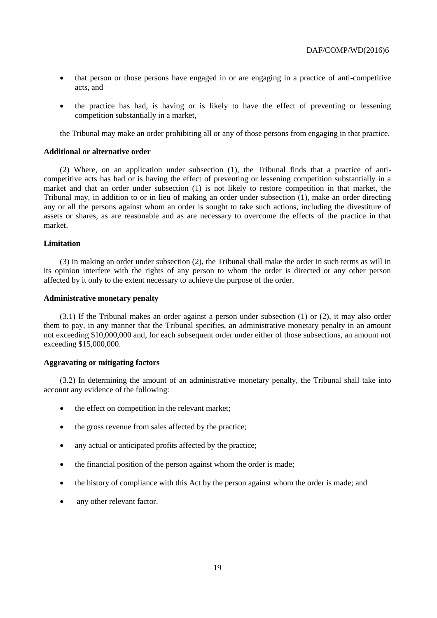- that person or those persons have engaged in or are engaging in a practice of anti-competitive acts, and
- the practice has had, is having or is likely to have the effect of preventing or lessening competition substantially in a market,

the Tribunal may make an order prohibiting all or any of those persons from engaging in that practice.

#### **Additional or alternative order**

(2) Where, on an application under subsection (1), the Tribunal finds that a practice of anticompetitive acts has had or is having the effect of preventing or lessening competition substantially in a market and that an order under subsection (1) is not likely to restore competition in that market, the Tribunal may, in addition to or in lieu of making an order under subsection (1), make an order directing any or all the persons against whom an order is sought to take such actions, including the divestiture of assets or shares, as are reasonable and as are necessary to overcome the effects of the practice in that market.

#### **Limitation**

(3) In making an order under subsection (2), the Tribunal shall make the order in such terms as will in its opinion interfere with the rights of any person to whom the order is directed or any other person affected by it only to the extent necessary to achieve the purpose of the order.

#### **Administrative monetary penalty**

(3.1) If the Tribunal makes an order against a person under subsection (1) or (2), it may also order them to pay, in any manner that the Tribunal specifies, an administrative monetary penalty in an amount not exceeding \$10,000,000 and, for each subsequent order under either of those subsections, an amount not exceeding \$15,000,000.

#### **Aggravating or mitigating factors**

(3.2) In determining the amount of an administrative monetary penalty, the Tribunal shall take into account any evidence of the following:

- the effect on competition in the relevant market;
- the gross revenue from sales affected by the practice;
- any actual or anticipated profits affected by the practice;
- the financial position of the person against whom the order is made:
- the history of compliance with this Act by the person against whom the order is made; and
- any other relevant factor.